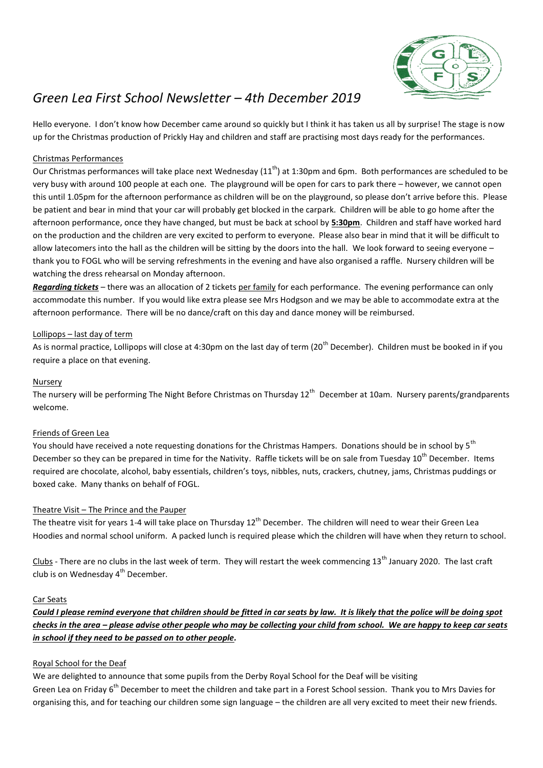

# *Green Lea First School Newsletter – 4th December 2019*

Hello everyone. I don't know how December came around so quickly but I think it has taken us all by surprise! The stage is now up for the Christmas production of Prickly Hay and children and staff are practising most days ready for the performances.

# Christmas Performances

Our Christmas performances will take place next Wednesday (11<sup>th</sup>) at 1:30pm and 6pm. Both performances are scheduled to be very busy with around 100 people at each one. The playground will be open for cars to park there – however, we cannot open this until 1.05pm for the afternoon performance as children will be on the playground, so please don't arrive before this. Please be patient and bear in mind that your car will probably get blocked in the carpark. Children will be able to go home after the afternoon performance, once they have changed, but must be back at school by **5:30pm**. Children and staff have worked hard on the production and the children are very excited to perform to everyone. Please also bear in mind that it will be difficult to allow latecomers into the hall as the children will be sitting by the doors into the hall. We look forward to seeing everyone – thank you to FOGL who will be serving refreshments in the evening and have also organised a raffle. Nursery children will be watching the dress rehearsal on Monday afternoon.

*Regarding tickets* – there was an allocation of 2 tickets per family for each performance. The evening performance can only accommodate this number. If you would like extra please see Mrs Hodgson and we may be able to accommodate extra at the afternoon performance. There will be no dance/craft on this day and dance money will be reimbursed.

## Lollipops – last day of term

As is normal practice, Lollipops will close at 4:30pm on the last day of term (20<sup>th</sup> December). Children must be booked in if you require a place on that evening.

## **Nursery**

The nursery will be performing The Night Before Christmas on Thursday 12<sup>th</sup> December at 10am. Nursery parents/grandparents welcome.

## Friends of Green Lea

You should have received a note requesting donations for the Christmas Hampers. Donations should be in school by 5<sup>th</sup> December so they can be prepared in time for the Nativity. Raffle tickets will be on sale from Tuesday 10<sup>th</sup> December. Items required are chocolate, alcohol, baby essentials, children's toys, nibbles, nuts, crackers, chutney, jams, Christmas puddings or boxed cake. Many thanks on behalf of FOGL.

## Theatre Visit – The Prince and the Pauper

The theatre visit for years 1-4 will take place on Thursday  $12<sup>th</sup>$  December. The children will need to wear their Green Lea Hoodies and normal school uniform. A packed lunch is required please which the children will have when they return to school.

Clubs - There are no clubs in the last week of term. They will restart the week commencing 13<sup>th</sup> January 2020. The last craft club is on Wednesday  $4<sup>th</sup>$  December.

## Car Seats

*Could I please remind everyone that children should be fitted in car seats by law. It is likely that the police will be doing spot checks in the area – please advise other people who may be collecting your child from school. We are happy to keep car seats in school if they need to be passed on to other people.*

## Royal School for the Deaf

We are delighted to announce that some pupils from the Derby Royal School for the Deaf will be visiting Green Lea on Friday 6<sup>th</sup> December to meet the children and take part in a Forest School session. Thank you to Mrs Davies for organising this, and for teaching our children some sign language – the children are all very excited to meet their new friends.